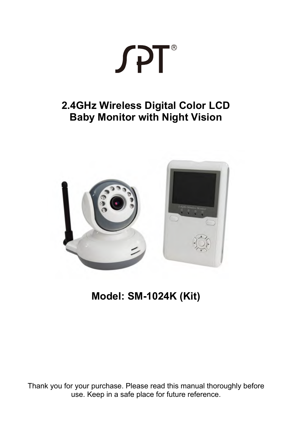

# **2.4GHz Wireless Digital Color LCD Baby Monitor with Night Vision**



**Model: SM-1024K (Kit)** 

Thank you for your purchase. Please read this manual thoroughly before use. Keep in a safe place for future reference.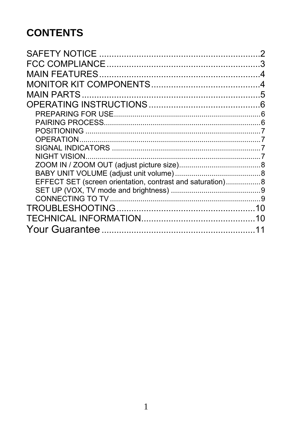# **CONTENTS**

|                                                           | 4  |
|-----------------------------------------------------------|----|
|                                                           | 5  |
|                                                           |    |
|                                                           |    |
|                                                           |    |
|                                                           |    |
|                                                           |    |
|                                                           |    |
|                                                           |    |
|                                                           |    |
|                                                           |    |
| EFFECT SET (screen orientation, contrast and saturation)8 |    |
|                                                           |    |
|                                                           |    |
|                                                           |    |
|                                                           |    |
|                                                           | 11 |
|                                                           |    |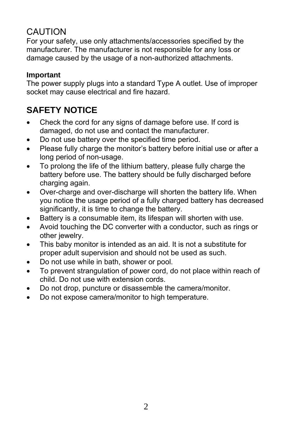## CAUTION

For your safety, use only attachments/accessories specified by the manufacturer. The manufacturer is not responsible for any loss or damage caused by the usage of a non-authorized attachments.

#### **Important**

The power supply plugs into a standard Type A outlet. Use of improper socket may cause electrical and fire hazard.

## <span id="page-2-0"></span>**SAFETY NOTICE**

- Check the cord for any signs of damage before use. If cord is damaged, do not use and contact the manufacturer.
- Do not use battery over the specified time period.
- Please fully charge the monitor's battery before initial use or after a long period of non-usage.
- To prolong the life of the lithium battery, please fully charge the battery before use. The battery should be fully discharged before charging again.
- Over-charge and over-discharge will shorten the battery life. When you notice the usage period of a fully charged battery has decreased significantly, it is time to change the battery.
- Battery is a consumable item, its lifespan will shorten with use.
- Avoid touching the DC converter with a conductor, such as rings or other jewelry.
- This baby monitor is intended as an aid. It is not a substitute for proper adult supervision and should not be used as such.
- Do not use while in bath, shower or pool.
- To prevent strangulation of power cord, do not place within reach of child. Do not use with extension cords.
- Do not drop, puncture or disassemble the camera/monitor.
- Do not expose camera/monitor to high temperature.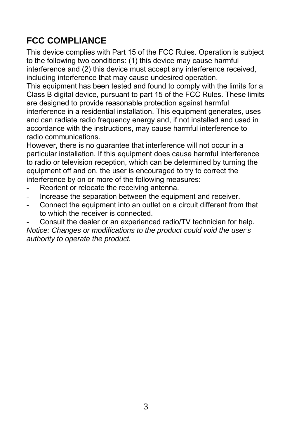## <span id="page-3-0"></span>**FCC COMPLIANCE**

This device complies with Part 15 of the FCC Rules. Operation is subject to the following two conditions: (1) this device may cause harmful interference and (2) this device must accept any interference received, including interference that may cause undesired operation.

This equipment has been tested and found to comply with the limits for a Class B digital device, pursuant to part 15 of the FCC Rules. These limits are designed to provide reasonable protection against harmful interference in a residential installation. This equipment generates, uses and can radiate radio frequency energy and, if not installed and used in accordance with the instructions, may cause harmful interference to radio communications.

However, there is no guarantee that interference will not occur in a particular installation. If this equipment does cause harmful interference to radio or television reception, which can be determined by turning the equipment off and on, the user is encouraged to try to correct the interference by on or more of the following measures:

- Reorient or relocate the receiving antenna.
- Increase the separation between the equipment and receiver.
- Connect the equipment into an outlet on a circuit different from that to which the receiver is connected.

Consult the dealer or an experienced radio/TV technician for help. *Notice: Changes or modifications to the product could void the user's authority to operate the product.*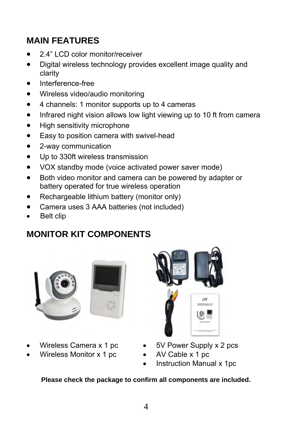# <span id="page-4-0"></span>**MAIN FEATURES**

- 2.4" LCD color monitor/receiver
- Digital wireless technology provides excellent image quality and clarity
- Interference-free
- Wireless video/audio monitoring
- 4 channels: 1 monitor supports up to 4 cameras
- Infrared night vision allows low light viewing up to 10 ft from camera
- High sensitivity microphone
- Easy to position camera with swivel-head
- 2-way communication
- Up to 330ft wireless transmission
- VOX standby mode (voice activated power saver mode)
- Both video monitor and camera can be powered by adapter or battery operated for true wireless operation
- Rechargeable lithium battery (monitor only)
- Camera uses 3 AAA batteries (not included)
- Belt clip

# <span id="page-4-1"></span>**MONITOR KIT COMPONENTS**



- Wireless Camera x 1 pc
- Wireless Monitor x 1 pc



- 5V Power Supply x 2 pcs
- AV Cable x 1 pc
- Instruction Manual x 1pc

**Please check the package to confirm all components are included.**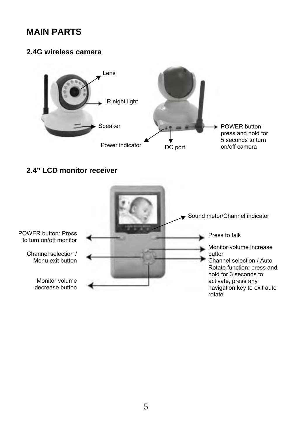## <span id="page-5-0"></span>**MAIN PARTS**

#### **2.4G wireless camera**



**2.4" LCD monitor receiver** 

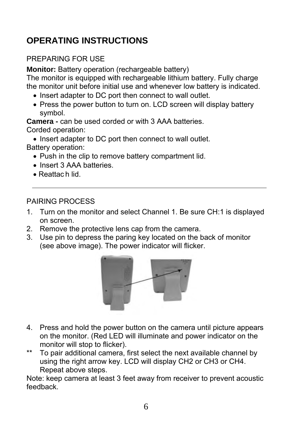## <span id="page-6-0"></span>**OPERATING INSTRUCTIONS**

#### <span id="page-6-1"></span>PREPARING FOR USE

**Monitor:** Battery operation (rechargeable battery)

The monitor is equipped with rechargeable lithium battery. Fully charge the monitor unit before initial use and whenever low battery is indicated.

- Insert adapter to DC port then connect to wall outlet.
- Press the power button to turn on. LCD screen will display battery symbol.

**Camera -** can be used corded or with 3 AAA batteries. Corded operation:

• Insert adapter to DC port then connect to wall outlet. Battery operation:

- Push in the clip to remove battery compartment lid.
- Insert 3 AAA batteries
- Reattac h lid.

<span id="page-6-2"></span>PAIRING PROCESS

- 1. Turn on the monitor and select Channel 1. Be sure CH:1 is displayed on screen.
- 2. Remove the protective lens cap from the camera.
- 3. Use pin to depress the paring key located on the back of monitor (see above image). The power indicator will flicker.



- 4. Press and hold the power button on the camera until picture appears on the monitor. (Red LED will illuminate and power indicator on the monitor will stop to flicker).
- \*\* To pair additional camera, first select the next available channel by using the right arrow key. LCD will display CH2 or CH3 or CH4. Repeat above steps.

Note: keep camera at least 3 feet away from receiver to prevent acoustic feedback.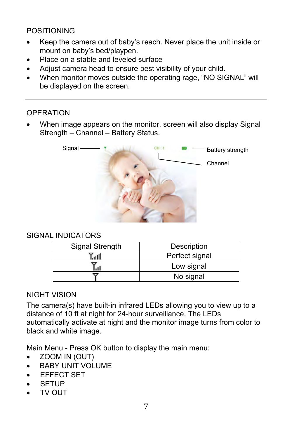#### <span id="page-7-0"></span>POSITIONING

- Keep the camera out of baby's reach. Never place the unit inside or mount on baby's bed/playpen.
- Place on a stable and leveled surface
- Adjust camera head to ensure best visibility of your child.
- When monitor moves outside the operating rage, "NO SIGNAL" will be displayed on the screen.

#### <span id="page-7-1"></span>**OPERATION**

 When image appears on the monitor, screen will also display Signal Strength – Channel – Battery Status.



#### <span id="page-7-2"></span>SIGNAL INDICATORS

| Signal Strength  | Description    |
|------------------|----------------|
| all <sup>1</sup> | Perfect signal |
| ۰υ               | Low signal     |
|                  | No signal      |

#### <span id="page-7-3"></span>NIGHT VISION

The camera(s) have built-in infrared LEDs allowing you to view up to a distance of 10 ft at night for 24-hour surveillance. The LEDs automatically activate at night and the monitor image turns from color to black and white image.

Main Menu - Press OK button to display the main menu:

- ZOOM IN (OUT)
- BABY UNIT VOLUME
- EFFECT SET
- SETUP
- TV OUT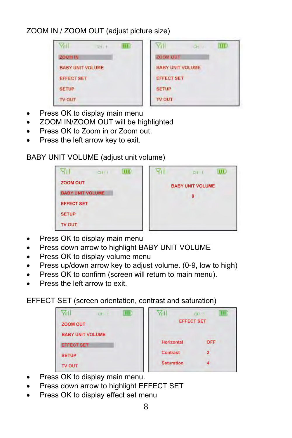## <span id="page-8-0"></span>ZOOM IN / ZOOM OUT (adjust picture size)



| Vill                    | $CH$ $I$ | ma |
|-------------------------|----------|----|
| <b>ZOOM OUT</b>         |          |    |
| <b>BABY UNIT VOLUME</b> |          |    |
| <b>EFFECT SET</b>       |          |    |
| <b>SETUP</b>            |          |    |
| <b>TV OUT</b>           |          |    |

- Press OK to display main menu
- ZOOM IN/ZOOM OUT will be highlighted
- Press OK to Zoom in or Zoom out.
- Press the left arrow key to exit.

#### <span id="page-8-1"></span>BABY UNIT VOLUME (adjust unit volume)





- Press OK to display main menu
- Press down arrow to highlight BABY UNIT VOLUME
- Press OK to display volume menu
- Press up/down arrow key to adjust volume. (0-9, low to high)
- Press OK to confirm (screen will return to main menu).
- Press the left arrow to exit.

<span id="page-8-2"></span>EFFECT SET (screen orientation, contrast and saturation)

| ΤIΙ<br>ШЪ<br><b>CH T</b> | $\Delta^{\rm{up}}$ | <b>CHAT</b> |
|--------------------------|--------------------|-------------|
| <b>ZOOM OUT</b>          | <b>EFFECT SET</b>  |             |
| <b>BABY UNIT VOLUME</b>  |                    |             |
| <b>EFFECT SET</b>        | <b>Horizontal</b>  | <b>OFF</b>  |
| <b>SETUP</b>             | <b>Contrast</b>    | 2           |
| <b>TV OUT</b>            | Saturation         |             |

- Press OK to display main menu.
- Press down arrow to highlight EFFECT SET
- Press OK to display effect set menu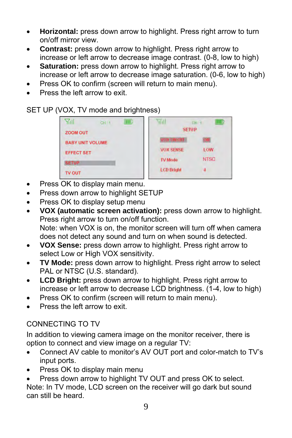- **Horizontal:** press down arrow to highlight. Press right arrow to turn on/off mirror view.
- **Contrast:** press down arrow to highlight. Press right arrow to increase or left arrow to decrease image contrast. (0-8, low to high)
- **Saturation:** press down arrow to highlight. Press right arrow to increase or left arrow to decrease image saturation. (0-6, low to high)
- Press OK to confirm (screen will return to main menu).
- Press the left arrow to exit.

## <span id="page-9-0"></span>SET UP (VOX, TV mode and brightness)



- Press OK to display main menu.
- Press down arrow to highlight SETUP
- Press OK to display setup menu
- **VOX (automatic screen activation):** press down arrow to highlight. Press right arrow to turn on/off function. Note: when VOX is on, the monitor screen will turn off when camera does not detect any sound and turn on when sound is detected.
- **VOX Sense:** press down arrow to highlight. Press right arrow to select Low or High VOX sensitivity.
- **TV Mode:** press down arrow to highlight. Press right arrow to select PAL or NTSC (U.S. standard).
- **LCD Bright:** press down arrow to highlight. Press right arrow to increase or left arrow to decrease LCD brightness. (1-4, low to high)
- Press OK to confirm (screen will return to main menu).
- Press the left arrow to exit.

## <span id="page-9-1"></span>CONNECTING TO TV

In addition to viewing camera image on the monitor receiver, there is option to connect and view image on a regular TV:

- Connect AV cable to monitor's AV OUT port and color-match to TV's input ports.
- Press OK to display main menu
- Press down arrow to highlight TV OUT and press OK to select. Note: In TV mode, LCD screen on the receiver will go dark but sound can still be heard.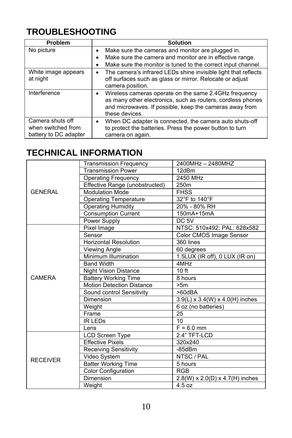## <span id="page-10-0"></span>**TROUBLESHOOTING**

| Problem                                                         | <b>Solution</b>                                                                                                                                                                                        |
|-----------------------------------------------------------------|--------------------------------------------------------------------------------------------------------------------------------------------------------------------------------------------------------|
| No picture                                                      | Make sure the cameras and monitor are plugged in.<br>Make sure the camera and monitor are in effective range.<br>٠<br>Make sure the monitor is tuned to the correct input channel.<br>٠                |
| White image appears<br>at night                                 | The camera's infrared LEDs shine invisible light that reflects<br>٠<br>off surfaces such as glass or mirror. Relocate or adjust<br>camera position.                                                    |
| Interference                                                    | Wireless cameras operate on the same 2.4GHz frequency<br>٠<br>as many other electronics, such as routers, cordless phones<br>and microwaves. If possible, keep the cameras away from<br>these devices. |
| Camera shuts off<br>when switched from<br>battery to DC adapter | When DC adapter is connected, the camera auto shuts-off<br>$\bullet$<br>to protect the batteries. Press the power button to turn<br>camera on again.                                                   |

## <span id="page-10-1"></span>**TECHNICAL INFORMATION**

|                 | <b>Transmission Frequency</b>    | 2400MHz - 2480MHZ                           |
|-----------------|----------------------------------|---------------------------------------------|
|                 | <b>Transmission Power</b>        | 12dBm                                       |
|                 | <b>Operating Frequency</b>       | 2450 MHz                                    |
|                 | Effective Range (unobstructed)   | 250 <sub>m</sub>                            |
| <b>GENERAL</b>  | <b>Modulation Mode</b>           | <b>FHSS</b>                                 |
|                 | <b>Operating Temperature</b>     | 32°F to 140°F                               |
|                 | <b>Operating Humidity</b>        | 20% - 80% RH                                |
|                 | <b>Consumption Current</b>       | 150mA+15mA                                  |
|                 | Power Supply                     | DC <sub>5V</sub>                            |
|                 | Pixel Image                      | NTSC: 510x492; PAL: 628x582                 |
|                 | Sensor                           | Color CMOS Image Sensor                     |
|                 | <b>Horizontal Resolution</b>     | 360 lines                                   |
|                 | Viewing Angle                    | 60 degrees                                  |
|                 | Minimum Illumination             | 1.5LUX (IR off), 0 LUX (IR on)              |
|                 | <b>Band Width</b>                | 4MHz                                        |
| CAMFRA          | <b>Night Vision Distance</b>     | 10 <sub>ft</sub>                            |
|                 | <b>Battery Working Time</b>      | 8 hours                                     |
|                 | <b>Motion Detection Distance</b> | >5m                                         |
|                 | Sound control Sensitivity        | $>60$ dBA                                   |
|                 | Dimension                        | 3.9(L) x 3.4(W) x 4.0(H) inches             |
|                 | Weight                           | 6 oz (no batteries)                         |
|                 | Frame                            | 25                                          |
|                 | <b>IR LEDS</b>                   | 10                                          |
|                 | Lens                             | $F = 6.0$ mm                                |
| <b>RECEIVER</b> | LCD Screen Type                  | 2.4" TFT-LCD                                |
|                 | <b>Effective Pixels</b>          | 320x240                                     |
|                 | Receiving Sensitivity            | $-85$ d $Bm$                                |
|                 | Video System                     | NTSC / PAL                                  |
|                 | <b>Batter Working Time</b>       | 5 hours                                     |
|                 | <b>Color Configuration</b>       | <b>RGB</b>                                  |
|                 | Dimension                        | $2.8(W) \times 2.0(D) \times 4.7(H)$ inches |
|                 | Weight                           | 4.5 oz                                      |